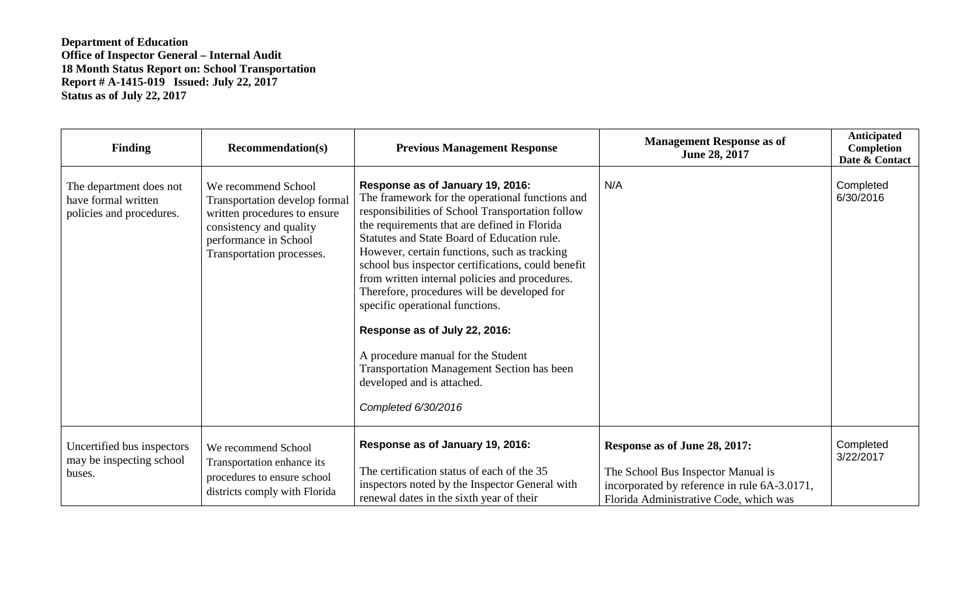**Department of Education Office of Inspector General – Internal Audit 18 Month Status Report on: School Transportation Report # A-1415-019 Issued: July 22, 2017 Status as of July 22, 2017**

| <b>Finding</b>                                                             | <b>Recommendation(s)</b>                                                                                                                                              | <b>Previous Management Response</b>                                                                                                                                                                                                                                                                                                                                                                                                                                                                                                                                                                                                                               | <b>Management Response as of</b><br>June 28, 2017                                                                                                             | <b>Anticipated</b><br>Completion<br>Date & Contact |
|----------------------------------------------------------------------------|-----------------------------------------------------------------------------------------------------------------------------------------------------------------------|-------------------------------------------------------------------------------------------------------------------------------------------------------------------------------------------------------------------------------------------------------------------------------------------------------------------------------------------------------------------------------------------------------------------------------------------------------------------------------------------------------------------------------------------------------------------------------------------------------------------------------------------------------------------|---------------------------------------------------------------------------------------------------------------------------------------------------------------|----------------------------------------------------|
| The department does not<br>have formal written<br>policies and procedures. | We recommend School<br>Transportation develop formal<br>written procedures to ensure<br>consistency and quality<br>performance in School<br>Transportation processes. | Response as of January 19, 2016:<br>The framework for the operational functions and<br>responsibilities of School Transportation follow<br>the requirements that are defined in Florida<br>Statutes and State Board of Education rule.<br>However, certain functions, such as tracking<br>school bus inspector certifications, could benefit<br>from written internal policies and procedures.<br>Therefore, procedures will be developed for<br>specific operational functions.<br>Response as of July 22, 2016:<br>A procedure manual for the Student<br><b>Transportation Management Section has been</b><br>developed and is attached.<br>Completed 6/30/2016 | N/A                                                                                                                                                           | Completed<br>6/30/2016                             |
| Uncertified bus inspectors<br>may be inspecting school<br>buses.           | We recommend School<br>Transportation enhance its<br>procedures to ensure school<br>districts comply with Florida                                                     | Response as of January 19, 2016:<br>The certification status of each of the 35<br>inspectors noted by the Inspector General with<br>renewal dates in the sixth year of their                                                                                                                                                                                                                                                                                                                                                                                                                                                                                      | Response as of June 28, 2017:<br>The School Bus Inspector Manual is<br>incorporated by reference in rule 6A-3.0171,<br>Florida Administrative Code, which was | Completed<br>3/22/2017                             |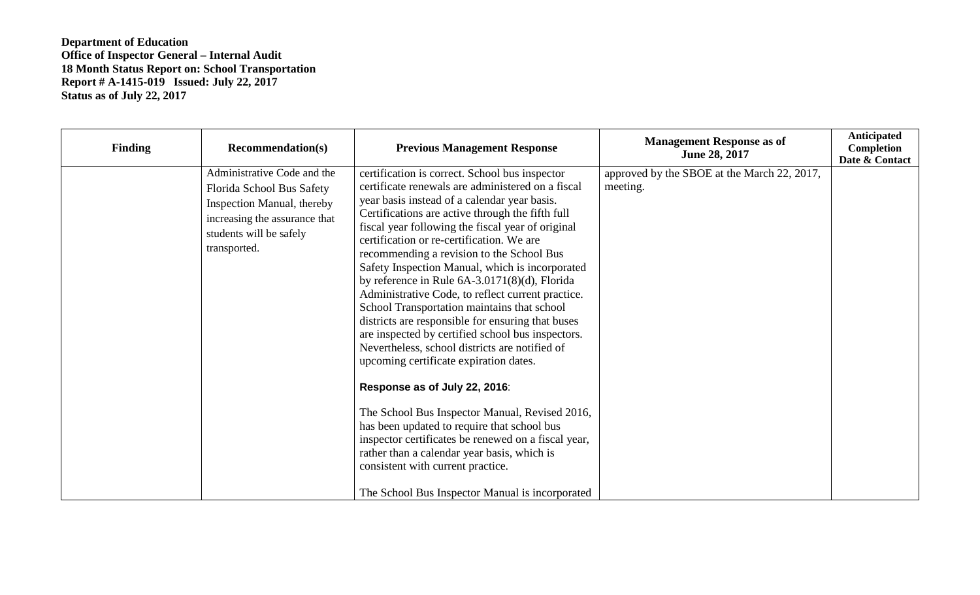## **Department of Education Office of Inspector General – Internal Audit 18 Month Status Report on: School Transportation Report # A-1415-019 Issued: July 22, 2017 Status as of July 22, 2017**

| <b>Finding</b> | <b>Recommendation(s)</b>                                                                                                                                           | <b>Previous Management Response</b>                                                                                                                                                                                                                                                                                                                                                                                                                                                                                                                                                                                                                                                                                                                                                                                                                                                                                                                                                                                                                                                                     | <b>Management Response as of</b><br>June 28, 2017       | Anticipated<br>Completion<br>Date & Contact |
|----------------|--------------------------------------------------------------------------------------------------------------------------------------------------------------------|---------------------------------------------------------------------------------------------------------------------------------------------------------------------------------------------------------------------------------------------------------------------------------------------------------------------------------------------------------------------------------------------------------------------------------------------------------------------------------------------------------------------------------------------------------------------------------------------------------------------------------------------------------------------------------------------------------------------------------------------------------------------------------------------------------------------------------------------------------------------------------------------------------------------------------------------------------------------------------------------------------------------------------------------------------------------------------------------------------|---------------------------------------------------------|---------------------------------------------|
|                | Administrative Code and the<br>Florida School Bus Safety<br>Inspection Manual, thereby<br>increasing the assurance that<br>students will be safely<br>transported. | certification is correct. School bus inspector<br>certificate renewals are administered on a fiscal<br>year basis instead of a calendar year basis.<br>Certifications are active through the fifth full<br>fiscal year following the fiscal year of original<br>certification or re-certification. We are<br>recommending a revision to the School Bus<br>Safety Inspection Manual, which is incorporated<br>by reference in Rule $6A-3.0171(8)(d)$ , Florida<br>Administrative Code, to reflect current practice.<br>School Transportation maintains that school<br>districts are responsible for ensuring that buses<br>are inspected by certified school bus inspectors.<br>Nevertheless, school districts are notified of<br>upcoming certificate expiration dates.<br>Response as of July 22, 2016:<br>The School Bus Inspector Manual, Revised 2016,<br>has been updated to require that school bus<br>inspector certificates be renewed on a fiscal year,<br>rather than a calendar year basis, which is<br>consistent with current practice.<br>The School Bus Inspector Manual is incorporated | approved by the SBOE at the March 22, 2017,<br>meeting. |                                             |